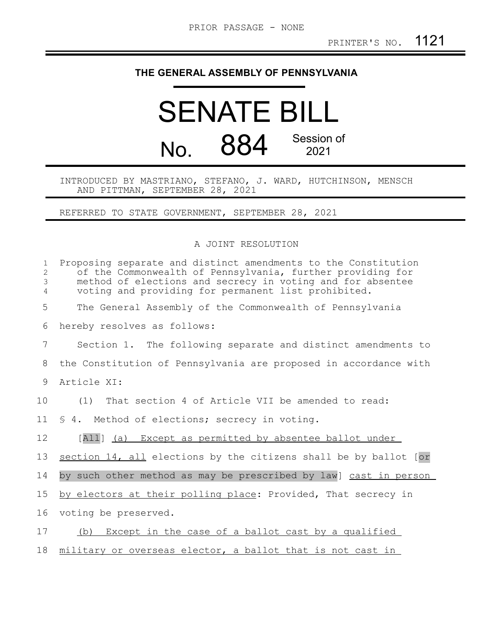## **THE GENERAL ASSEMBLY OF PENNSYLVANIA**

## SENATE BILL No. 884 Session of 2021

## INTRODUCED BY MASTRIANO, STEFANO, J. WARD, HUTCHINSON, MENSCH AND PITTMAN, SEPTEMBER 28, 2021

REFERRED TO STATE GOVERNMENT, SEPTEMBER 28, 2021

## A JOINT RESOLUTION

| $\mathbf{1}$<br>$\overline{c}$<br>3<br>4 | Proposing separate and distinct amendments to the Constitution<br>of the Commonwealth of Pennsylvania, further providing for<br>method of elections and secrecy in voting and for absentee<br>voting and providing for permanent list prohibited. |
|------------------------------------------|---------------------------------------------------------------------------------------------------------------------------------------------------------------------------------------------------------------------------------------------------|
| 5                                        | The General Assembly of the Commonwealth of Pennsylvania                                                                                                                                                                                          |
| 6                                        | hereby resolves as follows:                                                                                                                                                                                                                       |
| 7                                        | Section 1. The following separate and distinct amendments to                                                                                                                                                                                      |
| 8                                        | the Constitution of Pennsylvania are proposed in accordance with                                                                                                                                                                                  |
| 9                                        | Article XI:                                                                                                                                                                                                                                       |
| 10                                       | (1) That section 4 of Article VII be amended to read:                                                                                                                                                                                             |
| 11                                       | § 4. Method of elections; secrecy in voting.                                                                                                                                                                                                      |
| 12                                       | [All] (a) Except as permitted by absentee ballot under                                                                                                                                                                                            |
| 13                                       | section 14, all elections by the citizens shall be by ballot [or                                                                                                                                                                                  |
| 14                                       | by such other method as may be prescribed by law] cast in person                                                                                                                                                                                  |
| 15                                       | by electors at their polling place: Provided, That secrecy in                                                                                                                                                                                     |
| 16                                       | voting be preserved.                                                                                                                                                                                                                              |
| 17                                       | Except in the case of a ballot cast by a qualified<br>(b)                                                                                                                                                                                         |
| 18                                       | military or overseas elector, a ballot that is not cast in                                                                                                                                                                                        |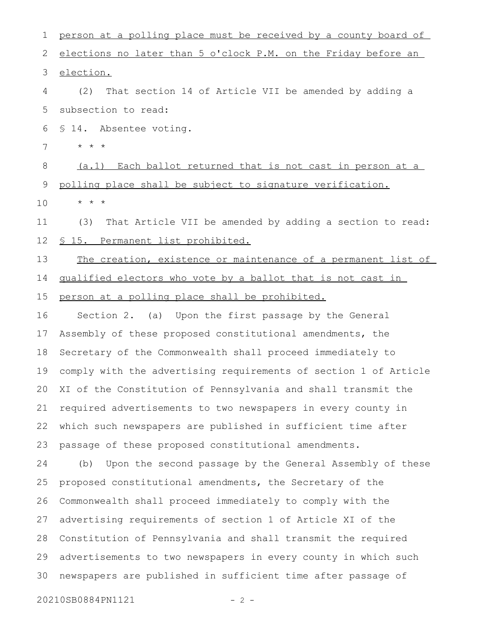| 1           | person at a polling place must be received by a county board of  |
|-------------|------------------------------------------------------------------|
| 2           | elections no later than 5 o'clock P.M. on the Friday before an   |
| 3           | election.                                                        |
| 4           | That section 14 of Article VII be amended by adding a<br>(2)     |
| 5           | subsection to read:                                              |
| 6           | § 14. Absentee voting.                                           |
| 7           | $\star$ $\star$ $\star$                                          |
| $\,8\,$     | (a.1) Each ballot returned that is not cast in person at a       |
| $\mathsf 9$ | polling place shall be subject to signature verification.        |
| 10          | $\star$ $\star$ $\star$                                          |
| 11          | That Article VII be amended by adding a section to read:<br>(3)  |
| 12          | <u>§ 15. Permanent list prohibited.</u>                          |
| 13          | The creation, existence or maintenance of a permanent list of    |
| 14          | qualified electors who vote by a ballot that is not cast in      |
| 15          | person at a polling place shall be prohibited.                   |
| 16          | Section 2. (a) Upon the first passage by the General             |
| 17          | Assembly of these proposed constitutional amendments, the        |
| 18          | Secretary of the Commonwealth shall proceed immediately to       |
| 19          | comply with the advertising requirements of section 1 of Article |
| 20          | XI of the Constitution of Pennsylvania and shall transmit the    |
| 21          | required advertisements to two newspapers in every county in     |
| 22          | which such newspapers are published in sufficient time after     |
| 23          | passage of these proposed constitutional amendments.             |
| 24          | Upon the second passage by the General Assembly of these<br>(b)  |
| 25          | proposed constitutional amendments, the Secretary of the         |
| 26          | Commonwealth shall proceed immediately to comply with the        |
| 27          | advertising requirements of section 1 of Article XI of the       |
| 28          | Constitution of Pennsylvania and shall transmit the required     |
| 29          | advertisements to two newspapers in every county in which such   |
| 30          | newspapers are published in sufficient time after passage of     |
|             | 20210SB0884PN1121<br>$-2 -$                                      |